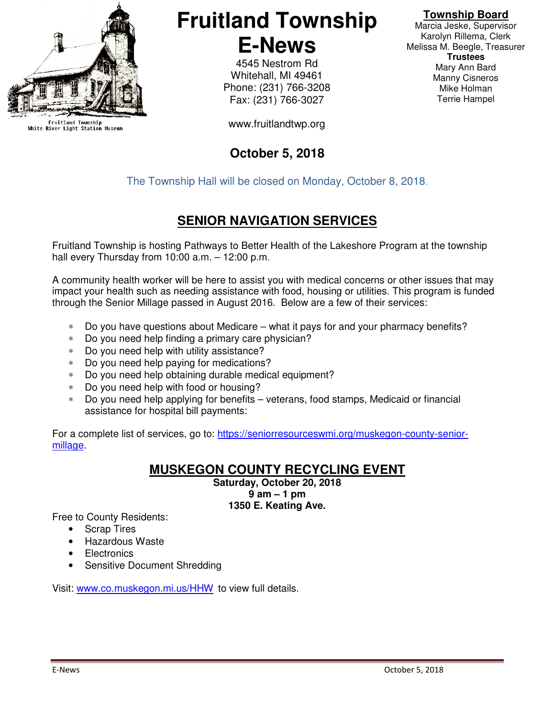

Fruitland Township<br>White River Light Station Museum

## **Fruitland Township E-News**

4545 Nestrom Rd Whitehall, MI 49461 Phone: (231) 766-3208 Fax: (231) 766-3027

www.fruitlandtwp.org

#### **October 5, 2018**

#### **Township Board**

Marcia Jeske, Supervisor Karolyn Rillema, Clerk Melissa M. Beegle, Treasurer **Trustees**  Mary Ann Bard Manny Cisneros Mike Holman Terrie Hampel

The Township Hall will be closed on Monday, October 8, 2018.

#### **SENIOR NAVIGATION SERVICES**

Fruitland Township is hosting Pathways to Better Health of the Lakeshore Program at the township hall every Thursday from 10:00 a.m. - 12:00 p.m.

A community health worker will be here to assist you with medical concerns or other issues that may impact your health such as needing assistance with food, housing or utilities. This program is funded through the Senior Millage passed in August 2016. Below are a few of their services:

- ∗ Do you have questions about Medicare what it pays for and your pharmacy benefits?
- ∗ Do you need help finding a primary care physician?
- ∗ Do you need help with utility assistance?
- ∗ Do you need help paying for medications?
- ∗ Do you need help obtaining durable medical equipment?
- ∗ Do you need help with food or housing?
- ∗ Do you need help applying for benefits veterans, food stamps, Medicaid or financial assistance for hospital bill payments:

For a complete list of services, go to: https://seniorresourceswmi.org/muskegon-county-seniormillage.

#### **MUSKEGON COUNTY RECYCLING EVENT**

**Saturday, October 20, 2018 9 am – 1 pm 1350 E. Keating Ave.** 

Free to County Residents:

- **Scrap Tires**
- Hazardous Waste
- **Electronics**
- Sensitive Document Shredding

Visit: www.co.muskegon.mi.us/HHW to view full details.